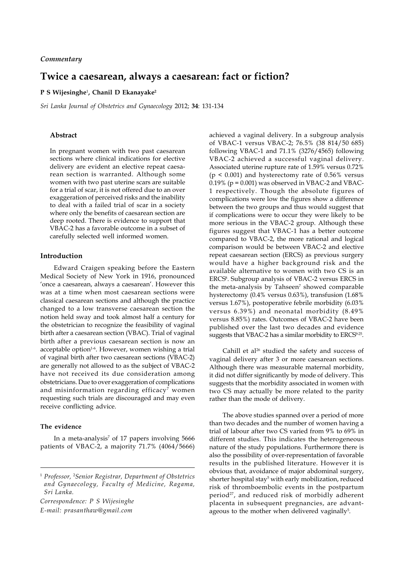# **Twice a caesarean, always a caesarean: fact or fiction?**

#### **P S Wijesinghe**<sup>1</sup> **, Chanil D Ekanayake2**

*Sri Lanka Journal of Obstetrics and Gynaecology* 2012; **34**: 131-134

## **Abstract**

In pregnant women with two past caesarean sections where clinical indications for elective delivery are evident an elective repeat caesarean section is warranted. Although some women with two past uterine scars are suitable for a trial of scar, it is not offered due to an over exaggeration of perceived risks and the inability to deal with a failed trial of scar in a society where only the benefits of caesarean section are deep rooted. There is evidence to support that VBAC-2 has a favorable outcome in a subset of carefully selected well informed women.

# **Introduction**

Edward Craigen speaking before the Eastern Medical Society of New York in 1916, pronounced 'once a caesarean, always a caesarean'. However this was at a time when most caesarean sections were classical caesarean sections and although the practice changed to a low transverse caesarean section the notion held sway and took almost half a century for the obstetrician to recognize the feasibility of vaginal birth after a caesarean section (VBAC). Trial of vaginal birth after a previous caesarean section is now an acceptable option<sup>1-6</sup>. However, women wishing a trial of vaginal birth after two caesarean sections (VBAC-2) are generally not allowed to as the subject of VBAC-2 have not received its due consideration among obstetricians. Due to over exaggeration of complications and misinformation regarding efficacy<sup>7</sup> women requesting such trials are discouraged and may even receive conflicting advice.

# **The evidence**

In a meta-analysis<sup>7</sup> of 17 papers involving 5666 patients of VBAC-2, a majority 71.7% (4064/5666)

*Correspondence: P S Wijesinghe E-mail: prasanthaw@gmail.com*

achieved a vaginal delivery. In a subgroup analysis of VBAC-1 versus VBAC-2; 76.5% (38 814/50 685) following VBAC-1 and 71.1% (3276/4565) following VBAC-2 achieved a successful vaginal delivery. Associated uterine rupture rate of 1.59% versus 0.72%  $(p < 0.001)$  and hysterectomy rate of 0.56% versus  $0.19\%$  (p =  $0.001$ ) was observed in VBAC-2 and VBAC-1 respectively. Though the absolute figures of complications were low the figures show a difference between the two groups and thus would suggest that if complications were to occur they were likely to be more serious in the VBAC-2 group. Although these figures suggest that VBAC-1 has a better outcome compared to VBAC-2, the more rational and logical comparison would be between VBAC-2 and elective repeat caesarean section (ERCS) as previous surgery would have a higher background risk and the available alternative to women with two CS is an ERCS<sup>8</sup>. Subgroup analysis of VBAC-2 versus ERCS in the meta-analysis by Tahseen<sup>7</sup> showed comparable hysterectomy (0.4% versus 0.63%), transfusion (1.68% versus 1.67%), postoperative febrile morbidity (6.03% versus 6.39%) and neonatal morbidity (8.49% versus 8.85%) rates. Outcomes of VBAC-2 have been published over the last two decades and evidence suggests that VBAC-2 has a similar morbidity to  $ERCS^{9.25}$ .

Cahill et al<sup>26</sup> studied the safety and success of vaginal delivery after 3 or more caesarean sections. Although there was measurable maternal morbidity, it did not differ significantly by mode of delivery. This suggests that the morbidity associated in women with two CS may actually be more related to the parity rather than the mode of delivery.

The above studies spanned over a period of more than two decades and the number of women having a trial of labour after two CS varied from 9% to 69% in different studies. This indicates the heterogeneous nature of the study populations. Furthermore there is also the possibility of over-representation of favorable results in the published literature. However it is obvious that, avoidance of major abdominal surgery, shorter hospital stay<sup>5</sup> with early mobilization, reduced risk of thromboembolic events in the postpartum period<sup>27</sup>, and reduced risk of morbidly adherent placenta in subsequent pregnancies, are advantageous to the mother when delivered vaginally<sup>5</sup>.

<sup>1</sup> *Professor,* <sup>2</sup> *Senior Registrar, Department of Obstetrics and Gynaecology, Faculty of Medicine, Ragama, Sri Lanka.*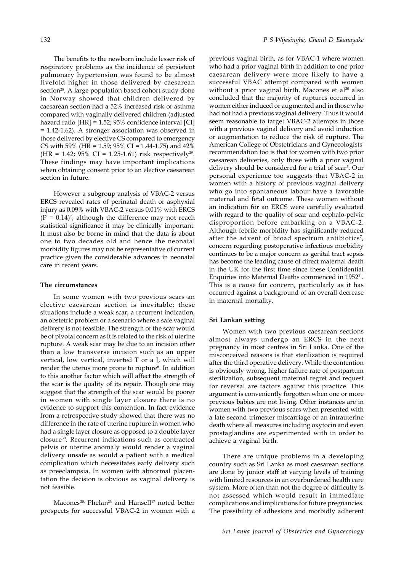The benefits to the newborn include lesser risk of respiratory problems as the incidence of persistent pulmonary hypertension was found to be almost fivefold higher in those delivered by caesarean section<sup>28</sup>. A large population based cohort study done in Norway showed that children delivered by caesarean section had a 52% increased risk of asthma compared with vaginally delivered children (adjusted hazard ratio [HR] = 1.52; 95% confidence interval [CI] = 1.42-1.62). A stronger association was observed in those delivered by elective CS compared to emergency CS with 59% (HR = 1.59;  $95\%$  CI = 1.44-1.75) and 42% (HR = 1.42; 95% CI = 1.25-1.61) risk respectively<sup>29</sup>. These findings may have important implications when obtaining consent prior to an elective caesarean section in future.

However a subgroup analysis of VBAC-2 versus ERCS revealed rates of perinatal death or asphyxial injury as 0.09% with VBAC-2 versus 0.01% with ERCS  $(P = 0.14)^7$ , although the difference may not reach statistical significance it may be clinically important. It must also be borne in mind that the data is about one to two decades old and hence the neonatal morbidity figures may not be representative of current practice given the considerable advances in neonatal care in recent years.

#### **The circumstances**

In some women with two previous scars an elective caesarean section is inevitable; these situations include a weak scar, a recurrent indication, an obstetric problem or a scenario where a safe vaginal delivery is not feasible. The strength of the scar would be of pivotal concern as it is related to the risk of uterine rupture. A weak scar may be due to an incision other than a low transverse incision such as an upper vertical, low vertical, inverted T or a J, which will render the uterus more prone to rupture<sup>6</sup>. In addition to this another factor which will affect the strength of the scar is the quality of its repair. Though one may suggest that the strength of the scar would be poorer in women with single layer closure there is no evidence to support this contention. In fact evidence from a retrospective study showed that there was no difference in the rate of uterine rupture in women who had a single layer closure as opposed to a double layer closure30. Recurrent indications such as contracted pelvis or uterine anomaly would render a vaginal delivery unsafe as would a patient with a medical complication which necessitates early delivery such as preeclampsia. In women with abnormal placentation the decision is obvious as vaginal delivery is not feasible.

Macones<sup>20,</sup> Phelan<sup>23</sup> and Hansell<sup>17</sup> noted better prospects for successful VBAC-2 in women with a previous vaginal birth, as for VBAC-1 where women who had a prior vaginal birth in addition to one prior caesarean delivery were more likely to have a successful VBAC attempt compared with women without a prior vaginal birth. Macones et al<sup>20</sup> also concluded that the majority of ruptures occurred in women either induced or augmented and in those who had not had a previous vaginal delivery. Thus it would seem reasonable to target VBAC-2 attempts in those with a previous vaginal delivery and avoid induction or augmentation to reduce the risk of rupture. The American College of Obstetricians and Gynecologists' recommendation too is that for women with two prior caesarean deliveries, only those with a prior vaginal delivery should be considered for a trial of scar<sup>5</sup>. Our personal experience too suggests that VBAC-2 in women with a history of previous vaginal delivery who go into spontaneous labour have a favorable maternal and fetal outcome. These women without an indication for an ERCS were carefully evaluated with regard to the quality of scar and cephalo-pelvic disproportion before embarking on a VBAC-2. Although febrile morbidity has significantly reduced after the advent of broad spectrum antibiotics<sup>7</sup>, concern regarding postoperative infectious morbidity continues to be a major concern as genital tract sepsis has become the leading cause of direct maternal death in the UK for the first time since these Confidential Enquiries into Maternal Deaths commenced in 195231. This is a cause for concern, particularly as it has occurred against a background of an overall decrease in maternal mortality.

#### **Sri Lankan setting**

Women with two previous caesarean sections almost always undergo an ERCS in the next pregnancy in most centres in Sri Lanka. One of the misconceived reasons is that sterilization is required after the third operative delivery. While the contention is obviously wrong, higher failure rate of postpartum sterilization, subsequent maternal regret and request for reversal are factors against this practice. This argument is conveniently forgotten when one or more previous babies are not living. Other instances are in women with two previous scars when presented with a late second trimester miscarriage or an intrauterine death where all measures including oxytocin and even prostaglandins are experimented with in order to achieve a vaginal birth.

There are unique problems in a developing country such as Sri Lanka as most caesarean sections are done by junior staff at varying levels of training with limited resources in an overburdened health care system. More often than not the degree of difficulty is not assessed which would result in immediate complications and implications for future pregnancies. The possibility of adhesions and morbidly adherent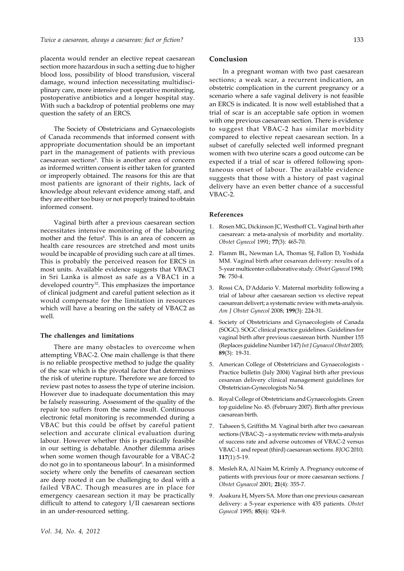placenta would render an elective repeat caesarean section more hazardous in such a setting due to higher blood loss, possibility of blood transfusion, visceral damage, wound infection necessitating multidisciplinary care, more intensive post operative monitoring, postoperative antibiotics and a longer hospital stay. With such a backdrop of potential problems one may question the safety of an ERCS.

The Society of Obstetricians and Gynaecologists of Canada recommends that informed consent with appropriate documentation should be an important part in the management of patients with previous caesarean sections4 . This is another area of concern as informed written consent is either taken for granted or improperly obtained. The reasons for this are that most patients are ignorant of their rights, lack of knowledge about relevant evidence among staff, and they are either too busy or not properly trained to obtain informed consent.

Vaginal birth after a previous caesarean section necessitates intensive monitoring of the labouring mother and the fetus<sup>6</sup>. This is an area of concern as health care resources are stretched and most units would be incapable of providing such care at all times. This is probably the perceived reason for ERCS in most units. Available evidence suggests that VBAC1 in Sri Lanka is almost as safe as a VBAC1 in a developed country<sup>32</sup>. This emphasizes the importance of clinical judgment and careful patient selection as it would compensate for the limitation in resources which will have a bearing on the safety of VBAC2 as well.

## **The challenges and limitations**

There are many obstacles to overcome when attempting VBAC-2. One main challenge is that there is no reliable prospective method to judge the quality of the scar which is the pivotal factor that determines the risk of uterine rupture. Therefore we are forced to review past notes to assess the type of uterine incision. However due to inadequate documentation this may be falsely reassuring. Assessment of the quality of the repair too suffers from the same insult. Continuous electronic fetal monitoring is recommended during a VBAC but this could be offset by careful patient selection and accurate clinical evaluation during labour. However whether this is practically feasible in our setting is debatable. Another dilemma arises when some women though favourable for a VBAC-2 do not go in to spontaneous labour6 . In a misinformed society where only the benefits of caesarean section are deep rooted it can be challenging to deal with a failed VBAC. Though measures are in place for emergency caesarean section it may be practically difficult to attend to category I/II caesarean sections in an under-resourced setting.

## **Conclusion**

In a pregnant woman with two past caesarean sections; a weak scar, a recurrent indication, an obstetric complication in the current pregnancy or a scenario where a safe vaginal delivery is not feasible an ERCS is indicated. It is now well established that a trial of scar is an acceptable safe option in women with one previous caesarean section. There is evidence to suggest that VBAC-2 has similar morbidity compared to elective repeat caesarean section. In a subset of carefully selected well informed pregnant women with two uterine scars a good outcome can be expected if a trial of scar is offered following spontaneous onset of labour. The available evidence suggests that those with a history of past vaginal delivery have an even better chance of a successful VBAC-2.

#### **References**

- 1. Rosen MG, Dickinson JC, Westhoff CL. Vaginal birth after caesarean: a meta-analysis of morbidity and mortality. *Obstet Gynecol* 1991; **77**(3): 465-70.
- 2. Flamm BL, Newman LA, Thomas SJ, Fallon D, Yoshida MM. Vaginal birth after cesarean delivery: results of a 5-year multicenter collaborative study. *Obstet Gynecol* 1990; **76**: 750-4.
- 3. Rossi CA, D'Addario V. Maternal morbidity following a trial of labour after caesarean section vs elective repeat caesarean delivert; a systematic review with meta-analysis. *Am J Obstet Gynecol* 2008; **199**(3): 224-31.
- 4. Society of Obstetricians and Gynaecologists of Canada (SOGC). SOGC clinical practice guidelines. Guidelines for vaginal birth after previous caesarean birth. Number 155 (Replaces guideline Number 147) *Int J Gynaecol Obstet* 2005; **89**(3): 19-31.
- 5. American College of Obstetricians and Gynaecologists Practice bulletin (July 2004) Vaginal birth after previous cesarean delivery clinical management guidelines for Obstetrician-Gynecologists No 54.
- 6. Royal College of Obstetricians and Gynaecologists. Green top guideline No. 45. (February 2007). Birth after previous caesarean birth.
- 7. Tahseen S, Griffiths M. Vaginal birth after two caesarean sections (VBAC-2) – a systematic review with meta-analysis of success rate and adverse outcomes of VBAC-2 versus VBAC-1 and repeat (third) caesarean sections. *BJOG* 2010; **117**(1):5-19.
- 8. Mesleh RA, Al Naim M, Krimly A. Pregnancy outcome of patients with previous four or more caesarean sections. *J Obstet Gynaecol* 2001; **21**(4): 355-7.
- 9. Asakura H, Myers SA. More than one previous caesarean delivery: a 5-year experience with 435 patients. *Obstet Gynecol* 1995; **85**(6): 924-9.